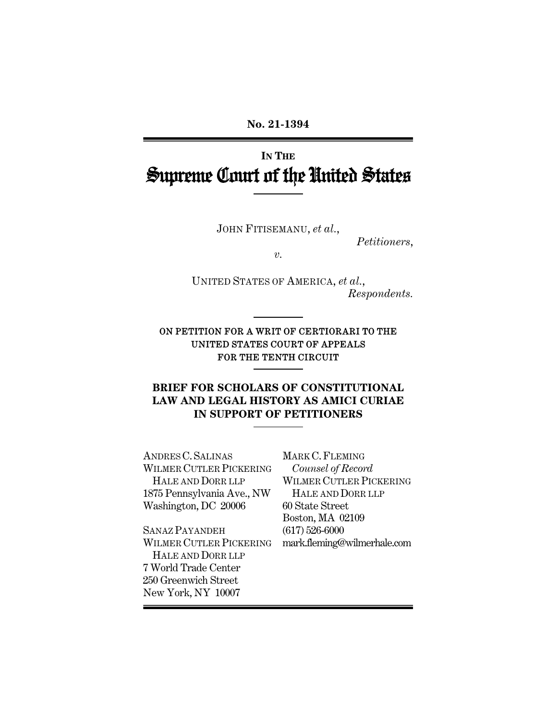**No. 21-1394** 

# **IN THE** Supreme Court of the United States

JOHN FITISEMANU, *et al.*,

*Petitioners*,

*v.* 

UNITED STATES OF AMERICA, *et al.*, *Respondents.* 

ON PETITION FOR A WRIT OF CERTIORARI TO THE UNITED STATES COURT OF APPEALS FOR THE TENTH CIRCUIT

### **BRIEF FOR SCHOLARS OF CONSTITUTIONAL LAW AND LEGAL HISTORY AS AMICI CURIAE IN SUPPORT OF PETITIONERS**

ANDRES C.SALINAS WILMER CUTLER PICKERING HALE AND DORR LLP 1875 Pennsylvania Ave., NW Washington, DC 20006

MARK C.FLEMING *Counsel of Record* WILMER CUTLER PICKERING HALE AND DORR LLP 60 State Street Boston, MA 02109 (617) 526-6000 mark.fleming@wilmerhale.com

SANAZ PAYANDEH WILMER CUTLER PICKERING HALE AND DORR LLP 7 World Trade Center 250 Greenwich Street New York, NY 10007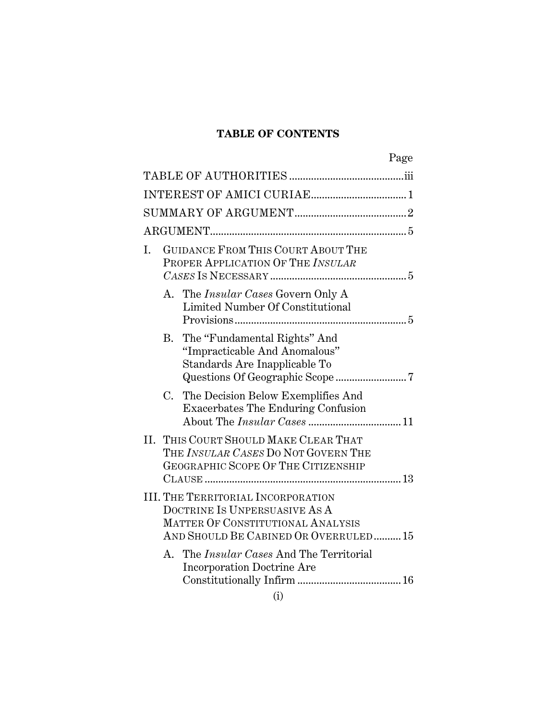# **TABLE OF CONTENTS**

|    |                                                                                                                                                         | Page |
|----|---------------------------------------------------------------------------------------------------------------------------------------------------------|------|
|    |                                                                                                                                                         |      |
|    |                                                                                                                                                         |      |
|    |                                                                                                                                                         |      |
|    |                                                                                                                                                         |      |
| I. | GUIDANCE FROM THIS COURT ABOUT THE<br>PROPER APPLICATION OF THE INSULAR                                                                                 |      |
|    | A. The <i>Insular Cases</i> Govern Only A<br>Limited Number Of Constitutional                                                                           |      |
|    | The "Fundamental Rights" And<br><b>B.</b><br>"Impracticable And Anomalous"<br>Standards Are Inapplicable To                                             |      |
|    | The Decision Below Exemplifies And<br>$C_{\cdot}$<br><b>Exacerbates The Enduring Confusion</b>                                                          |      |
|    | II. THIS COURT SHOULD MAKE CLEAR THAT<br>THE INSULAR CASES DO NOT GOVERN THE<br>GEOGRAPHIC SCOPE OF THE CITIZENSHIP                                     |      |
|    | <b>III. THE TERRITORIAL INCORPORATION</b><br>DOCTRINE IS UNPERSUASIVE AS A<br>MATTER OF CONSTITUTIONAL ANALYSIS<br>AND SHOULD BE CABINED OR OVERRULED15 |      |
|    | A. The <i>Insular Cases</i> And The Territorial<br><b>Incorporation Doctrine Are</b>                                                                    |      |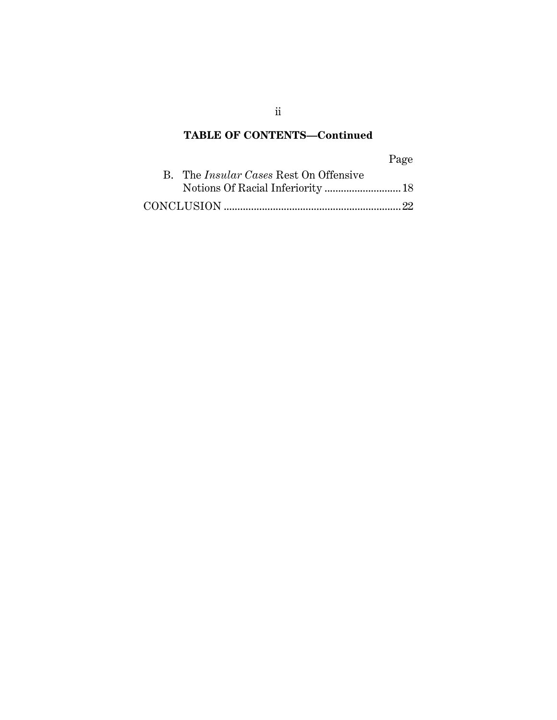# **TABLE OF CONTENTS—Continued**

# Page

| B. The <i>Insular Cases</i> Rest On Offensive |  |
|-----------------------------------------------|--|
|                                               |  |
|                                               |  |

ii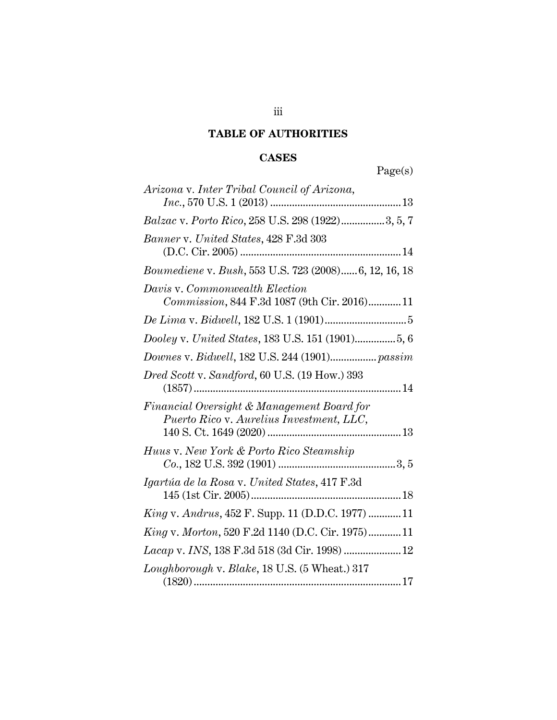# **TABLE OF AUTHORITIES**

# **CASES**

| Page(s) |
|---------|
|---------|

| Arizona v. Inter Tribal Council of Arizona,                                            |
|----------------------------------------------------------------------------------------|
| Balzac v. Porto Rico, 258 U.S. 298 (1922)3, 5, 7                                       |
| Banner v. United States, 428 F.3d 303                                                  |
| Boumediene v. Bush, 553 U.S. 723 (2008) 6, 12, 16, 18                                  |
| Davis v. Commonwealth Election<br>Commission, 844 F.3d 1087 (9th Cir. 2016) 11         |
|                                                                                        |
|                                                                                        |
| Downes v. Bidwell, 182 U.S. 244 (1901) passim                                          |
| Dred Scott v. Sandford, 60 U.S. (19 How.) 393                                          |
| Financial Oversight & Management Board for<br>Puerto Rico v. Aurelius Investment, LLC, |
| Huus v. New York & Porto Rico Steamship                                                |
| Igartúa de la Rosa v. United States, 417 F.3d                                          |
| <i>King v. Andrus</i> , 452 F. Supp. 11 (D.D.C. 1977) 11                               |
| King v. Morton, 520 F.2d 1140 (D.C. Cir. 1975) 11                                      |
| Lacap v. INS, 138 F.3d 518 (3d Cir. 1998)  12                                          |
| Loughborough v. Blake, 18 U.S. (5 Wheat.) 317                                          |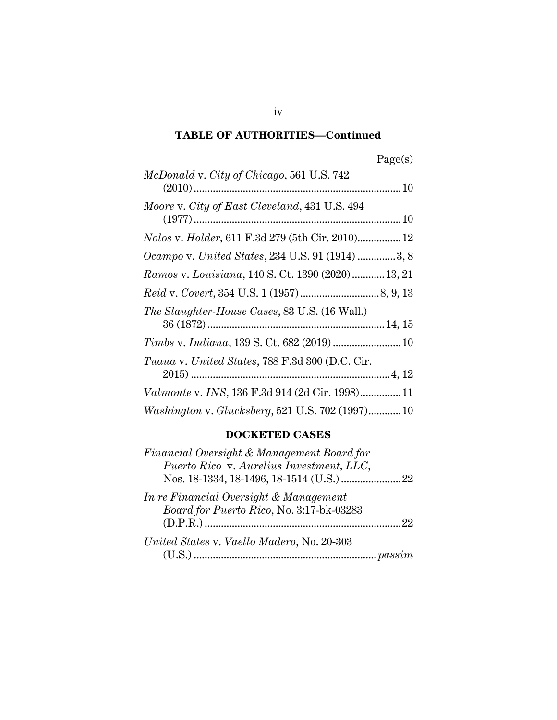| Page(s) |
|---------|
|---------|

| McDonald v. City of Chicago, 561 U.S. 742            |
|------------------------------------------------------|
|                                                      |
| Moore v. City of East Cleveland, 431 U.S. 494        |
|                                                      |
| Nolos v. Holder, 611 F.3d 279 (5th Cir. 2010) 12     |
| Ocampo v. United States, 234 U.S. 91 (1914) 3, 8     |
| Ramos v. Louisiana, 140 S. Ct. 1390 (2020) 13, 21    |
|                                                      |
| <i>The Slaughter-House Cases, 83 U.S. (16 Wall.)</i> |
|                                                      |
|                                                      |
| Tuaua v. United States, 788 F.3d 300 (D.C. Cir.      |
|                                                      |
| Valmonte v. INS, 136 F.3d 914 (2d Cir. 1998)11       |
| Washington v. Glucksberg, 521 U.S. 702 (1997) 10     |

## **DOCKETED CASES**

| Financial Oversight & Management Board for |    |
|--------------------------------------------|----|
| Puerto Rico v. Aurelius Investment, LLC,   |    |
|                                            |    |
| In re Financial Oversight & Management     |    |
| Board for Puerto Rico, No. 3:17-bk-03283   |    |
|                                            | 22 |
| United States v. Vaello Madero, No. 20-303 |    |
|                                            |    |

iv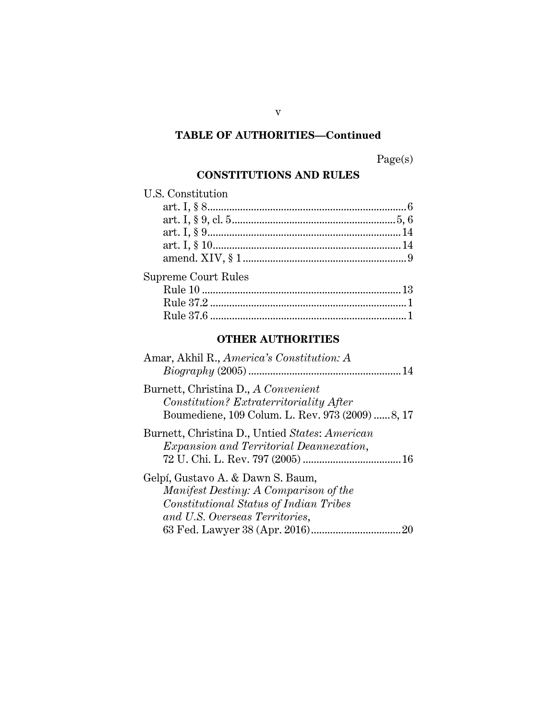Page(s)

# **CONSTITUTIONS AND RULES**

| <b>U.S. Constitution</b>   |  |
|----------------------------|--|
|                            |  |
|                            |  |
|                            |  |
|                            |  |
|                            |  |
| <b>Supreme Court Rules</b> |  |
|                            |  |
|                            |  |
|                            |  |

# **OTHER AUTHORITIES**

| Amar, Akhil R., America's Constitution: A                                                                                                              |
|--------------------------------------------------------------------------------------------------------------------------------------------------------|
| Burnett, Christina D., A Convenient<br>Constitution? Extraterritoriality After<br>Boumediene, 109 Colum. L. Rev. 973 (2009) 8, 17                      |
| Burnett, Christina D., Untied States: American<br><i>Expansion and Territorial Deannexation,</i>                                                       |
| Gelpí, Gustavo A. & Dawn S. Baum,<br>Manifest Destiny: A Comparison of the<br>Constitutional Status of Indian Tribes<br>and U.S. Overseas Territories, |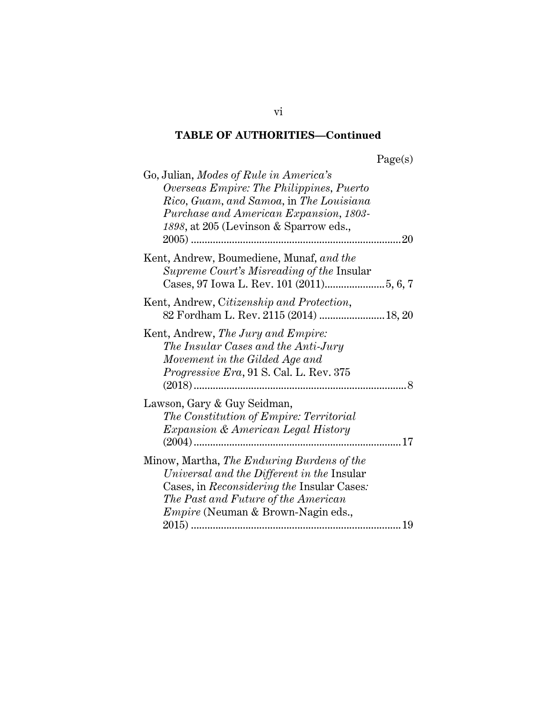| Go, Julian, Modes of Rule in America's<br>Overseas Empire: The Philippines, Puerto<br>Rico, Guam, and Samoa, in The Louisiana<br>Purchase and American Expansion, 1803-<br>1898, at 205 (Levinson & Sparrow eds.,<br>20                  |
|------------------------------------------------------------------------------------------------------------------------------------------------------------------------------------------------------------------------------------------|
| Kent, Andrew, Boumediene, Munaf, and the<br>Supreme Court's Misreading of the Insular                                                                                                                                                    |
| Kent, Andrew, Citizenship and Protection,<br>82 Fordham L. Rev. 2115 (2014)  18, 20                                                                                                                                                      |
| Kent, Andrew, The Jury and Empire:<br>The Insular Cases and the Anti-Jury<br>Movement in the Gilded Age and<br>Progressive Era, 91 S. Cal. L. Rev. 375                                                                                   |
| Lawson, Gary & Guy Seidman,<br>The Constitution of Empire: Territorial<br><i>Expansion &amp; American Legal History</i><br>. 17                                                                                                          |
| Minow, Martha, The Enduring Burdens of the<br>Universal and the Different in the Insular<br>Cases, in <i>Reconsidering the</i> Insular Cases:<br>The Past and Future of the American<br><i>Empire</i> (Neuman & Brown-Nagin eds.,<br>.19 |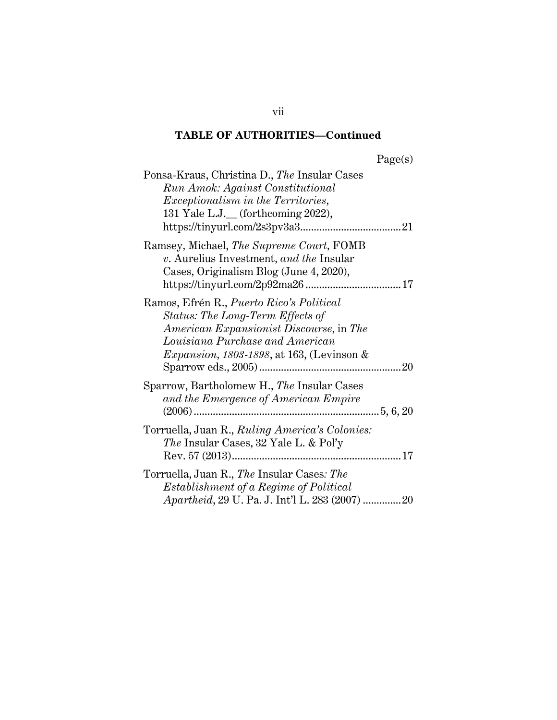| agets |  |
|-------|--|
|       |  |

| Ponsa-Kraus, Christina D., The Insular Cases<br><b>Run Amok: Against Constitutional</b><br><i>Exceptionalism in the Territories,</i><br>131 Yale L.J. (forthcoming 2022),                                                 |
|---------------------------------------------------------------------------------------------------------------------------------------------------------------------------------------------------------------------------|
| Ramsey, Michael, The Supreme Court, FOMB<br>v. Aurelius Investment, and the Insular<br>Cases, Originalism Blog (June 4, 2020),                                                                                            |
| Ramos, Efrén R., <i>Puerto Rico's Political</i><br>Status: The Long-Term Effects of<br>American Expansionist Discourse, in The<br>Louisiana Purchase and American<br><i>Expansion, 1803-1898, at 163, (Levinson &amp;</i> |
| Sparrow, Bartholomew H., The Insular Cases<br>and the Emergence of American Empire                                                                                                                                        |
| Torruella, Juan R., <i>Ruling America's Colonies</i> :<br>The Insular Cases, 32 Yale L. & Pol'y                                                                                                                           |
| Torruella, Juan R., The Insular Cases: The<br>Establishment of a Regime of Political<br><i>Apartheid</i> , 29 U. Pa. J. Int'l L. 283 (2007) 20                                                                            |

vii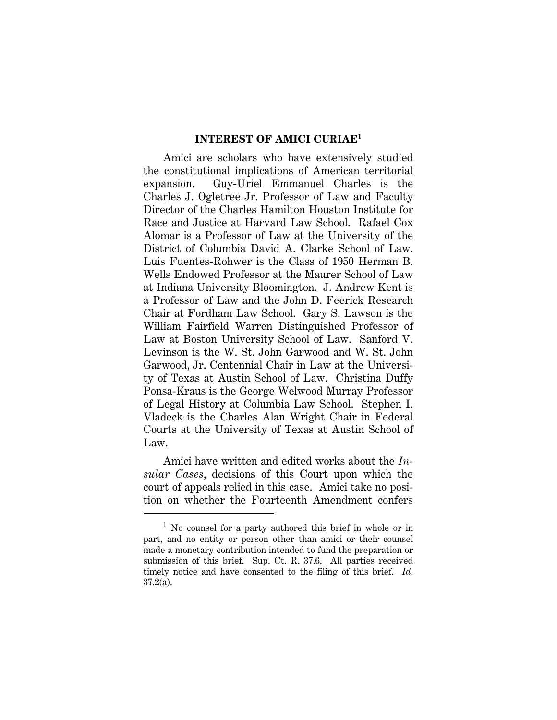#### **INTEREST OF AMICI CURIAE<sup>1</sup>**

Amici are scholars who have extensively studied the constitutional implications of American territorial expansion. Guy-Uriel Emmanuel Charles is the Charles J. Ogletree Jr. Professor of Law and Faculty Director of the Charles Hamilton Houston Institute for Race and Justice at Harvard Law School. Rafael Cox Alomar is a Professor of Law at the University of the District of Columbia David A. Clarke School of Law. Luis Fuentes-Rohwer is the Class of 1950 Herman B. Wells Endowed Professor at the Maurer School of Law at Indiana University Bloomington. J. Andrew Kent is a Professor of Law and the John D. Feerick Research Chair at Fordham Law School. Gary S. Lawson is the William Fairfield Warren Distinguished Professor of Law at Boston University School of Law. Sanford V. Levinson is the W. St. John Garwood and W. St. John Garwood, Jr. Centennial Chair in Law at the University of Texas at Austin School of Law. Christina Duffy Ponsa-Kraus is the George Welwood Murray Professor of Legal History at Columbia Law School. Stephen I. Vladeck is the Charles Alan Wright Chair in Federal Courts at the University of Texas at Austin School of Law.

Amici have written and edited works about the *Insular Cases*, decisions of this Court upon which the court of appeals relied in this case. Amici take no position on whether the Fourteenth Amendment confers

<sup>&</sup>lt;sup>1</sup> No counsel for a party authored this brief in whole or in part, and no entity or person other than amici or their counsel made a monetary contribution intended to fund the preparation or submission of this brief. Sup. Ct. R. 37.6. All parties received timely notice and have consented to the filing of this brief. *Id*. 37.2(a).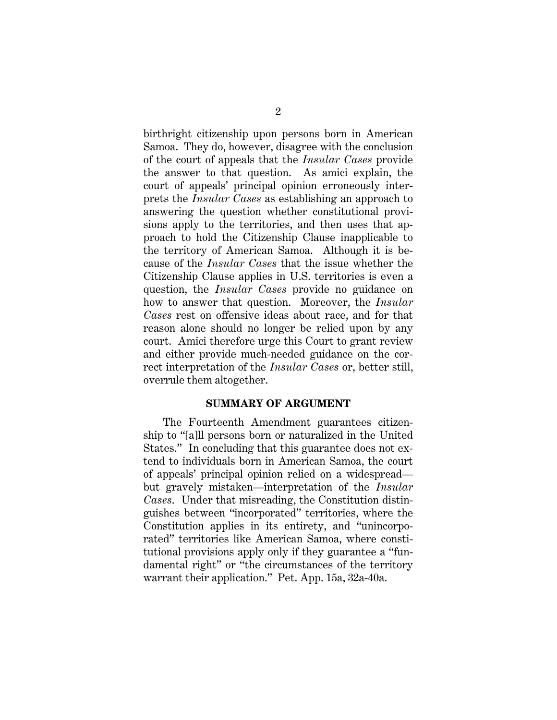birthright citizenship upon persons born in American Samoa. They do, however, disagree with the conclusion of the court of appeals that the *Insular Cases* provide the answer to that question. As amici explain, the court of appeals' principal opinion erroneously interprets the *Insular Cases* as establishing an approach to answering the question whether constitutional provisions apply to the territories, and then uses that approach to hold the Citizenship Clause inapplicable to the territory of American Samoa. Although it is because of the *Insular Cases* that the issue whether the Citizenship Clause applies in U.S. territories is even a question, the *Insular Cases* provide no guidance on how to answer that question. Moreover, the *Insular Cases* rest on offensive ideas about race, and for that reason alone should no longer be relied upon by any court. Amici therefore urge this Court to grant review and either provide much-needed guidance on the correct interpretation of the *Insular Cases* or, better still, overrule them altogether.

#### **SUMMARY OF ARGUMENT**

The Fourteenth Amendment guarantees citizenship to "[a]ll persons born or naturalized in the United States." In concluding that this guarantee does not extend to individuals born in American Samoa, the court of appeals' principal opinion relied on a widespread but gravely mistaken—interpretation of the *Insular Cases*. Under that misreading, the Constitution distinguishes between "incorporated" territories, where the Constitution applies in its entirety, and "unincorporated" territories like American Samoa, where constitutional provisions apply only if they guarantee a "fundamental right" or "the circumstances of the territory warrant their application." Pet. App. 15a, 32a-40a.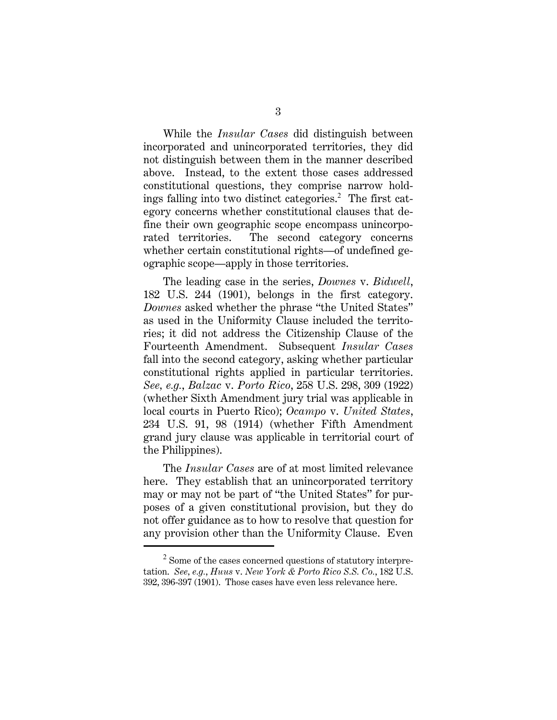While the *Insular Cases* did distinguish between incorporated and unincorporated territories, they did not distinguish between them in the manner described above. Instead, to the extent those cases addressed constitutional questions, they comprise narrow holdings falling into two distinct categories.<sup>2</sup> The first category concerns whether constitutional clauses that define their own geographic scope encompass unincorporated territories. The second category concerns whether certain constitutional rights—of undefined geographic scope—apply in those territories.

The leading case in the series, *Downes* v. *Bidwell*, 182 U.S. 244 (1901), belongs in the first category. *Downes* asked whether the phrase "the United States" as used in the Uniformity Clause included the territories; it did not address the Citizenship Clause of the Fourteenth Amendment. Subsequent *Insular Cases* fall into the second category, asking whether particular constitutional rights applied in particular territories. *See, e.g.*, *Balzac* v. *Porto Rico*, 258 U.S. 298, 309 (1922) (whether Sixth Amendment jury trial was applicable in local courts in Puerto Rico); *Ocampo* v. *United States*, 234 U.S. 91, 98 (1914) (whether Fifth Amendment grand jury clause was applicable in territorial court of the Philippines).

The *Insular Cases* are of at most limited relevance here. They establish that an unincorporated territory may or may not be part of "the United States" for purposes of a given constitutional provision, but they do not offer guidance as to how to resolve that question for any provision other than the Uniformity Clause. Even

 $2$  Some of the cases concerned questions of statutory interpretation. *See, e.g.*, *Huus* v. *New York & Porto Rico S.S. Co.*, 182 U.S. 392, 396-397 (1901). Those cases have even less relevance here.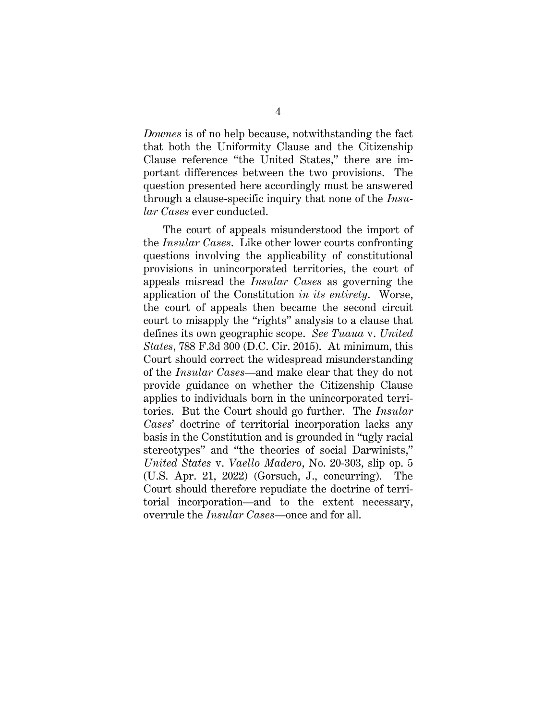*Downes* is of no help because, notwithstanding the fact that both the Uniformity Clause and the Citizenship Clause reference "the United States," there are important differences between the two provisions. The question presented here accordingly must be answered through a clause-specific inquiry that none of the *Insular Cases* ever conducted.

The court of appeals misunderstood the import of the *Insular Cases*. Like other lower courts confronting questions involving the applicability of constitutional provisions in unincorporated territories, the court of appeals misread the *Insular Cases* as governing the application of the Constitution *in its entirety*. Worse, the court of appeals then became the second circuit court to misapply the "rights" analysis to a clause that defines its own geographic scope. *See Tuaua* v. *United States*, 788 F.3d 300 (D.C. Cir. 2015).At minimum, this Court should correct the widespread misunderstanding of the *Insular Cases*—and make clear that they do not provide guidance on whether the Citizenship Clause applies to individuals born in the unincorporated territories. But the Court should go further. The *Insular Cases*' doctrine of territorial incorporation lacks any basis in the Constitution and is grounded in "ugly racial stereotypes" and "the theories of social Darwinists," *United States* v. *Vaello Madero*, No. 20-303, slip op. 5 (U.S. Apr. 21, 2022) (Gorsuch, J., concurring). The Court should therefore repudiate the doctrine of territorial incorporation—and to the extent necessary, overrule the *Insular Cases*—once and for all.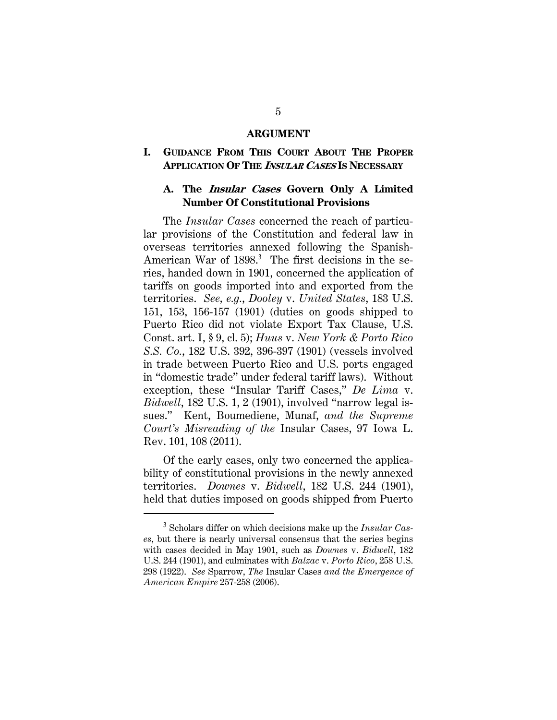#### **ARGUMENT**

### **I. GUIDANCE FROM THIS COURT ABOUT THE PROPER APPLICATION OF THE <sup>I</sup>NSULAR CASES IS NECESSARY**

### **A. The Insular Cases Govern Only A Limited Number Of Constitutional Provisions**

The *Insular Cases* concerned the reach of particular provisions of the Constitution and federal law in overseas territories annexed following the Spanish-American War of 1898.<sup>3</sup> The first decisions in the series, handed down in 1901, concerned the application of tariffs on goods imported into and exported from the territories. *See, e.g.*, *Dooley* v. *United States*, 183 U.S. 151, 153, 156-157 (1901) (duties on goods shipped to Puerto Rico did not violate Export Tax Clause, U.S. Const. art. I, § 9, cl. 5); *Huus* v. *New York & Porto Rico S.S. Co.*, 182 U.S. 392, 396-397 (1901) (vessels involved in trade between Puerto Rico and U.S. ports engaged in "domestic trade" under federal tariff laws). Without exception, these "Insular Tariff Cases," *De Lima* v. *Bidwell*, 182 U.S. 1, 2 (1901), involved "narrow legal issues." Kent, Boumediene, Munaf, *and the Supreme Court's Misreading of the* Insular Cases, 97 Iowa L. Rev. 101, 108 (2011).

Of the early cases, only two concerned the applicability of constitutional provisions in the newly annexed territories. *Downes* v. *Bidwell*, 182 U.S. 244 (1901), held that duties imposed on goods shipped from Puerto

<sup>3</sup> Scholars differ on which decisions make up the *Insular Cases*, but there is nearly universal consensus that the series begins with cases decided in May 1901, such as *Downes* v. *Bidwell*, 182 U.S. 244 (1901), and culminates with *Balzac* v. *Porto Rico*, 258 U.S. 298 (1922). *See* Sparrow, *The* Insular Cases *and the Emergence of American Empire* 257-258 (2006).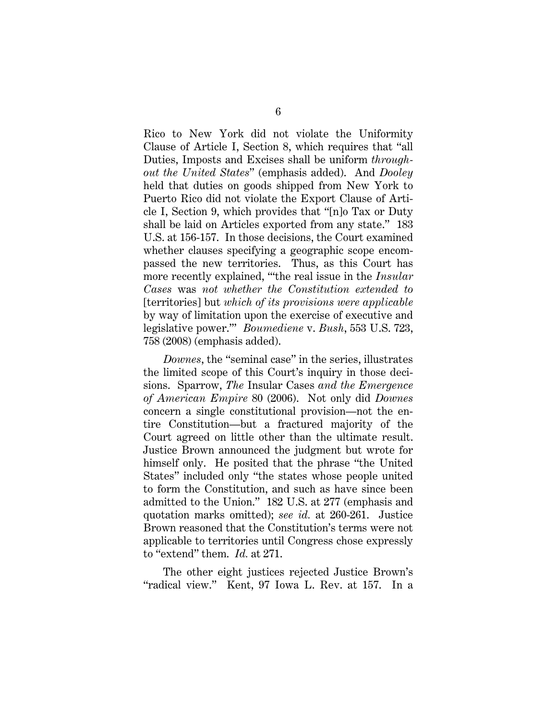Rico to New York did not violate the Uniformity Clause of Article I, Section 8, which requires that "all Duties, Imposts and Excises shall be uniform *throughout the United States*" (emphasis added). And *Dooley* held that duties on goods shipped from New York to Puerto Rico did not violate the Export Clause of Article I, Section 9, which provides that "[n]o Tax or Duty shall be laid on Articles exported from any state." 183 U.S. at 156-157. In those decisions, the Court examined whether clauses specifying a geographic scope encompassed the new territories. Thus, as this Court has more recently explained, "'the real issue in the *Insular Cases* was *not whether the Constitution extended to*  [territories] but *which of its provisions were applicable*  by way of limitation upon the exercise of executive and legislative power.'" *Boumediene* v. *Bush*, 553 U.S. 723, 758 (2008) (emphasis added).

*Downes*, the "seminal case" in the series, illustrates the limited scope of this Court's inquiry in those decisions. Sparrow, *The* Insular Cases *and the Emergence of American Empire* 80 (2006). Not only did *Downes*  concern a single constitutional provision—not the entire Constitution—but a fractured majority of the Court agreed on little other than the ultimate result. Justice Brown announced the judgment but wrote for himself only. He posited that the phrase "the United States" included only "the states whose people united to form the Constitution, and such as have since been admitted to the Union." 182 U.S. at 277 (emphasis and quotation marks omitted); *see id.* at 260-261. Justice Brown reasoned that the Constitution's terms were not applicable to territories until Congress chose expressly to "extend" them. *Id.* at 271.

The other eight justices rejected Justice Brown's "radical view." Kent, 97 Iowa L. Rev. at 157. In a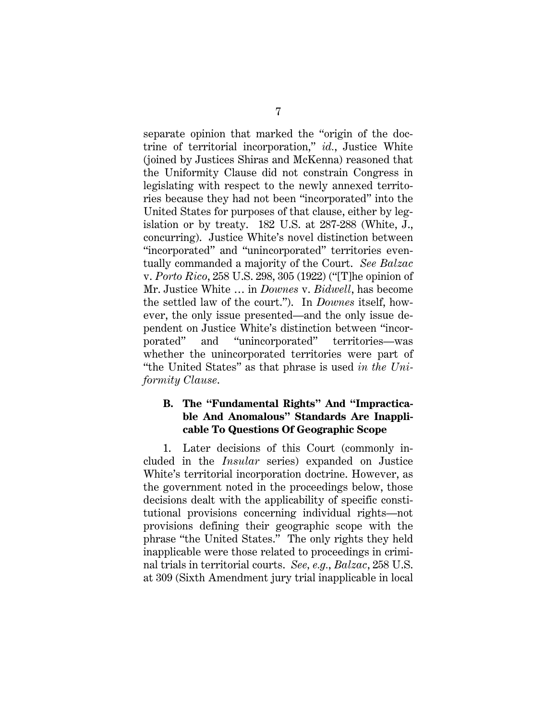separate opinion that marked the "origin of the doctrine of territorial incorporation," *id.*, Justice White (joined by Justices Shiras and McKenna) reasoned that the Uniformity Clause did not constrain Congress in legislating with respect to the newly annexed territories because they had not been "incorporated" into the United States for purposes of that clause, either by legislation or by treaty. 182 U.S. at 287-288 (White, J., concurring). Justice White's novel distinction between "incorporated" and "unincorporated" territories eventually commanded a majority of the Court. *See Balzac*  v. *Porto Rico*, 258 U.S. 298, 305 (1922) ("[T]he opinion of Mr. Justice White … in *Downes* v. *Bidwell*, has become the settled law of the court."). In *Downes* itself, however, the only issue presented—and the only issue dependent on Justice White's distinction between "incorporated" and "unincorporated" territories—was whether the unincorporated territories were part of "the United States" as that phrase is used *in the Uniformity Clause*.

### **B. The "Fundamental Rights" And "Impracticable And Anomalous" Standards Are Inapplicable To Questions Of Geographic Scope**

1. Later decisions of this Court (commonly included in the *Insular* series) expanded on Justice White's territorial incorporation doctrine. However, as the government noted in the proceedings below, those decisions dealt with the applicability of specific constitutional provisions concerning individual rights—not provisions defining their geographic scope with the phrase "the United States." The only rights they held inapplicable were those related to proceedings in criminal trials in territorial courts. *See, e.g.*, *Balzac*, 258 U.S. at 309 (Sixth Amendment jury trial inapplicable in local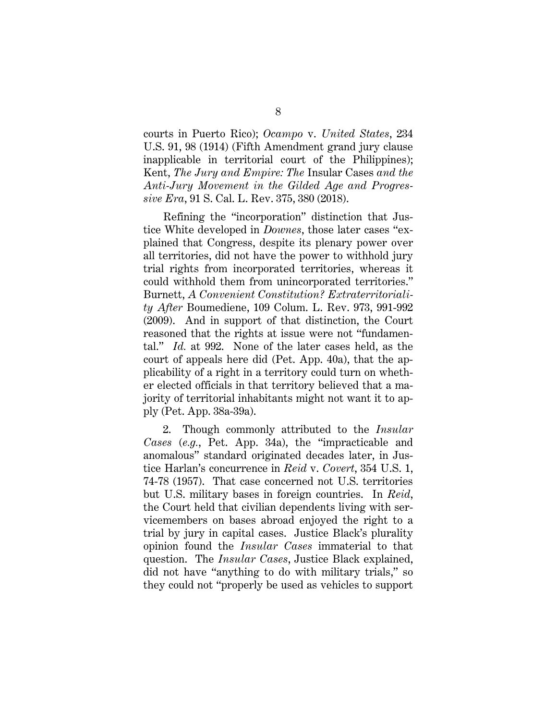courts in Puerto Rico); *Ocampo* v. *United States*, 234 U.S. 91, 98 (1914) (Fifth Amendment grand jury clause inapplicable in territorial court of the Philippines); Kent, *The Jury and Empire: The* Insular Cases *and the Anti-Jury Movement in the Gilded Age and Progressive Era*, 91 S. Cal. L. Rev. 375, 380 (2018).

Refining the "incorporation" distinction that Justice White developed in *Downes*, those later cases "explained that Congress, despite its plenary power over all territories, did not have the power to withhold jury trial rights from incorporated territories, whereas it could withhold them from unincorporated territories." Burnett, *A Convenient Constitution? Extraterritoriality After* Boumediene, 109 Colum. L. Rev. 973, 991-992 (2009). And in support of that distinction, the Court reasoned that the rights at issue were not "fundamental." *Id.* at 992. None of the later cases held, as the court of appeals here did (Pet. App. 40a), that the applicability of a right in a territory could turn on whether elected officials in that territory believed that a majority of territorial inhabitants might not want it to apply (Pet. App. 38a-39a).

2. Though commonly attributed to the *Insular Cases* (*e.g.*, Pet. App. 34a), the "impracticable and anomalous" standard originated decades later, in Justice Harlan's concurrence in *Reid* v. *Covert*, 354 U.S. 1, 74-78 (1957). That case concerned not U.S. territories but U.S. military bases in foreign countries. In *Reid*, the Court held that civilian dependents living with servicemembers on bases abroad enjoyed the right to a trial by jury in capital cases. Justice Black's plurality opinion found the *Insular Cases* immaterial to that question. The *Insular Cases*, Justice Black explained, did not have "anything to do with military trials," so they could not "properly be used as vehicles to support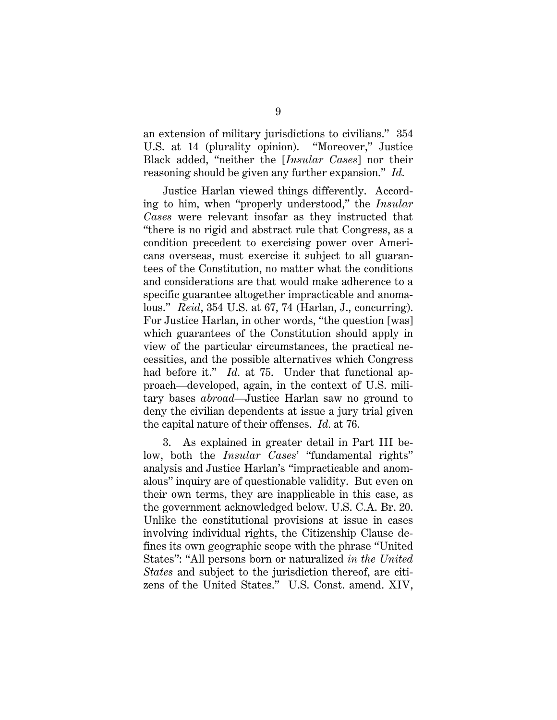an extension of military jurisdictions to civilians." 354 U.S. at 14 (plurality opinion). "Moreover," Justice Black added, "neither the [*Insular Cases*] nor their reasoning should be given any further expansion." *Id.*

Justice Harlan viewed things differently. According to him, when "properly understood," the *Insular Cases* were relevant insofar as they instructed that "there is no rigid and abstract rule that Congress, as a condition precedent to exercising power over Americans overseas, must exercise it subject to all guarantees of the Constitution, no matter what the conditions and considerations are that would make adherence to a specific guarantee altogether impracticable and anomalous." *Reid*, 354 U.S. at 67, 74 (Harlan, J., concurring). For Justice Harlan, in other words, "the question [was] which guarantees of the Constitution should apply in view of the particular circumstances, the practical necessities, and the possible alternatives which Congress had before it." *Id.* at 75. Under that functional approach—developed, again, in the context of U.S. military bases *abroad*—Justice Harlan saw no ground to deny the civilian dependents at issue a jury trial given the capital nature of their offenses. *Id.* at 76.

3. As explained in greater detail in Part III below, both the *Insular Cases*' "fundamental rights" analysis and Justice Harlan's "impracticable and anomalous" inquiry are of questionable validity. But even on their own terms, they are inapplicable in this case, as the government acknowledged below. U.S. C.A. Br. 20. Unlike the constitutional provisions at issue in cases involving individual rights, the Citizenship Clause defines its own geographic scope with the phrase "United States": "All persons born or naturalized *in the United States* and subject to the jurisdiction thereof, are citizens of the United States." U.S. Const. amend. XIV,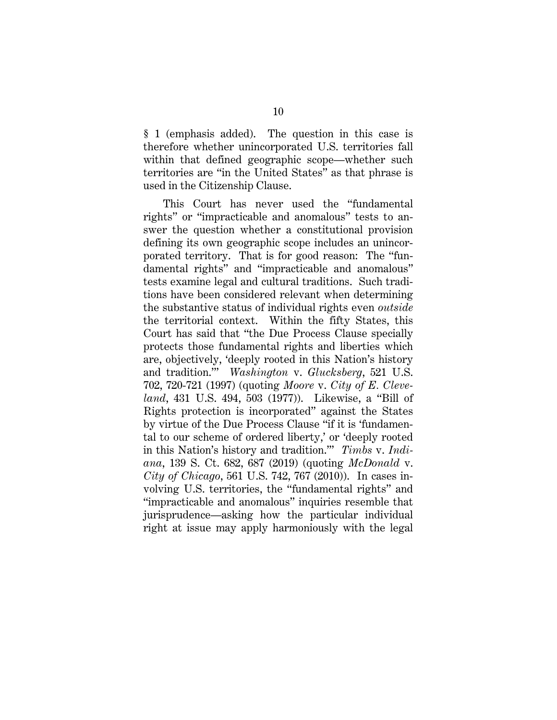§ 1 (emphasis added). The question in this case is therefore whether unincorporated U.S. territories fall within that defined geographic scope—whether such territories are "in the United States" as that phrase is used in the Citizenship Clause.

This Court has never used the "fundamental rights" or "impracticable and anomalous" tests to answer the question whether a constitutional provision defining its own geographic scope includes an unincorporated territory. That is for good reason: The "fundamental rights" and "impracticable and anomalous" tests examine legal and cultural traditions. Such traditions have been considered relevant when determining the substantive status of individual rights even *outside*  the territorial context. Within the fifty States, this Court has said that "the Due Process Clause specially protects those fundamental rights and liberties which are, objectively, 'deeply rooted in this Nation's history and tradition.'" *Washington* v. *Glucksberg*, 521 U.S. 702, 720-721 (1997) (quoting *Moore* v. *City of E. Cleveland*, 431 U.S. 494, 503 (1977)). Likewise, a "Bill of Rights protection is incorporated" against the States by virtue of the Due Process Clause "if it is 'fundamental to our scheme of ordered liberty,' or 'deeply rooted in this Nation's history and tradition.'" *Timbs* v. *Indiana*, 139 S. Ct. 682, 687 (2019) (quoting *McDonald* v. *City of Chicago*, 561 U.S. 742, 767 (2010)). In cases involving U.S. territories, the "fundamental rights" and "impracticable and anomalous" inquiries resemble that jurisprudence—asking how the particular individual right at issue may apply harmoniously with the legal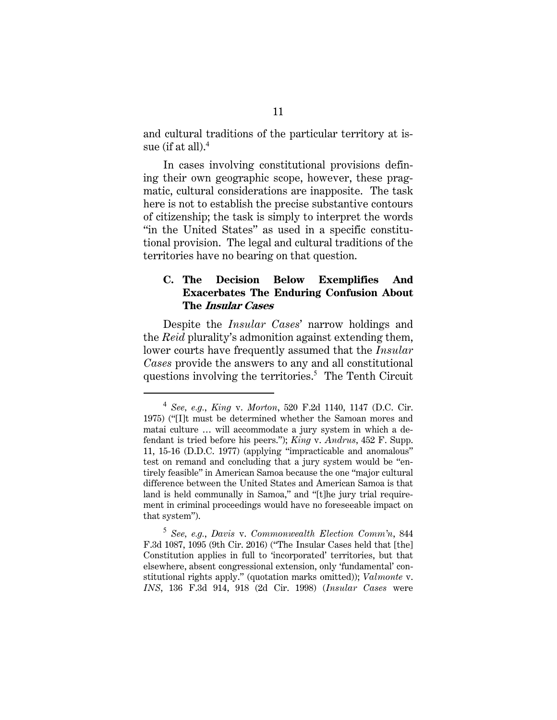and cultural traditions of the particular territory at issue (if at all). $^4$ 

In cases involving constitutional provisions defining their own geographic scope, however, these pragmatic, cultural considerations are inapposite. The task here is not to establish the precise substantive contours of citizenship; the task is simply to interpret the words "in the United States" as used in a specific constitutional provision. The legal and cultural traditions of the territories have no bearing on that question.

### **C. The Decision Below Exemplifies And Exacerbates The Enduring Confusion About The Insular Cases**

Despite the *Insular Cases*' narrow holdings and the *Reid* plurality's admonition against extending them, lower courts have frequently assumed that the *Insular Cases* provide the answers to any and all constitutional questions involving the territories.<sup>5</sup> The Tenth Circuit

<sup>4</sup> *See, e.g.*, *King* v. *Morton*, 520 F.2d 1140, 1147 (D.C. Cir. 1975) ("[I]t must be determined whether the Samoan mores and matai culture … will accommodate a jury system in which a defendant is tried before his peers."); *King* v. *Andrus*, 452 F. Supp. 11, 15-16 (D.D.C. 1977) (applying "impracticable and anomalous" test on remand and concluding that a jury system would be "entirely feasible" in American Samoa because the one "major cultural difference between the United States and American Samoa is that land is held communally in Samoa," and "[t]he jury trial requirement in criminal proceedings would have no foreseeable impact on that system").

<sup>5</sup> *See, e.g.*, *Davis* v. *Commonwealth Election Comm'n*, 844 F.3d 1087, 1095 (9th Cir. 2016) ("The Insular Cases held that [the] Constitution applies in full to 'incorporated' territories, but that elsewhere, absent congressional extension, only 'fundamental' constitutional rights apply." (quotation marks omitted)); *Valmonte* v. *INS*, 136 F.3d 914, 918 (2d Cir. 1998) (*Insular Cases* were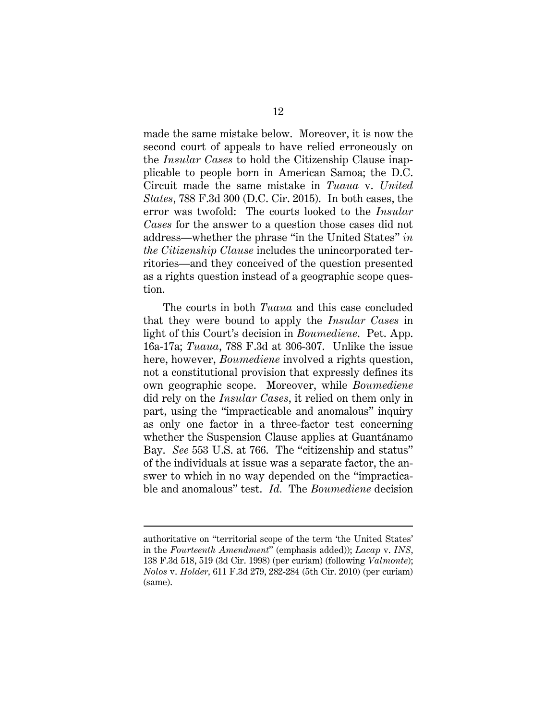made the same mistake below. Moreover, it is now the second court of appeals to have relied erroneously on the *Insular Cases* to hold the Citizenship Clause inapplicable to people born in American Samoa; the D.C. Circuit made the same mistake in *Tuaua* v. *United States*, 788 F.3d 300 (D.C. Cir. 2015). In both cases, the error was twofold: The courts looked to the *Insular Cases* for the answer to a question those cases did not address—whether the phrase "in the United States" *in the Citizenship Clause* includes the unincorporated territories—and they conceived of the question presented as a rights question instead of a geographic scope question.

The courts in both *Tuaua* and this case concluded that they were bound to apply the *Insular Cases* in light of this Court's decision in *Boumediene*. Pet. App. 16a-17a; *Tuaua*, 788 F.3d at 306-307. Unlike the issue here, however, *Boumediene* involved a rights question, not a constitutional provision that expressly defines its own geographic scope. Moreover, while *Boumediene* did rely on the *Insular Cases*, it relied on them only in part, using the "impracticable and anomalous" inquiry as only one factor in a three-factor test concerning whether the Suspension Clause applies at Guantánamo Bay. *See* 553 U.S. at 766. The "citizenship and status" of the individuals at issue was a separate factor, the answer to which in no way depended on the "impracticable and anomalous" test. *Id.* The *Boumediene* decision

authoritative on "territorial scope of the term 'the United States' in the *Fourteenth Amendment*" (emphasis added)); *Lacap* v. *INS*, 138 F.3d 518, 519 (3d Cir. 1998) (per curiam) (following *Valmonte*); *Nolos* v. *Holder,* 611 F.3d 279, 282-284 (5th Cir. 2010) (per curiam) (same).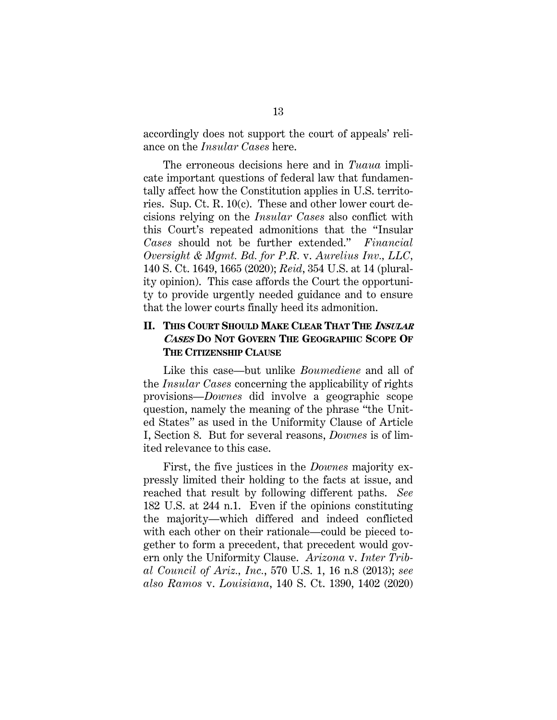accordingly does not support the court of appeals' reliance on the *Insular Cases* here.

The erroneous decisions here and in *Tuaua* implicate important questions of federal law that fundamentally affect how the Constitution applies in U.S. territories. Sup. Ct. R. 10(c). These and other lower court decisions relying on the *Insular Cases* also conflict with this Court's repeated admonitions that the "Insular *Cases* should not be further extended." *Financial Oversight & Mgmt. Bd. for P.R.* v. *Aurelius Inv., LLC,*  140 S. Ct. 1649, 1665 (2020); *Reid*, 354 U.S. at 14 (plurality opinion). This case affords the Court the opportunity to provide urgently needed guidance and to ensure that the lower courts finally heed its admonition.

### **II. THIS COURT SHOULD MAKE CLEAR THAT THE <sup>I</sup>NSULAR CASES DO NOT GOVERN THE GEOGRAPHIC SCOPE OF THE CITIZENSHIP CLAUSE**

Like this case—but unlike *Boumediene* and all of the *Insular Cases* concerning the applicability of rights provisions—*Downes* did involve a geographic scope question, namely the meaning of the phrase "the United States" as used in the Uniformity Clause of Article I, Section 8. But for several reasons, *Downes* is of limited relevance to this case.

First, the five justices in the *Downes* majority expressly limited their holding to the facts at issue, and reached that result by following different paths. *See*  182 U.S. at 244 n.1. Even if the opinions constituting the majority—which differed and indeed conflicted with each other on their rationale—could be pieced together to form a precedent, that precedent would govern only the Uniformity Clause. *Arizona* v. *Inter Tribal Council of Ariz., Inc.*, 570 U.S. 1, 16 n.8 (2013); *see also Ramos* v. *Louisiana*, 140 S. Ct. 1390, 1402 (2020)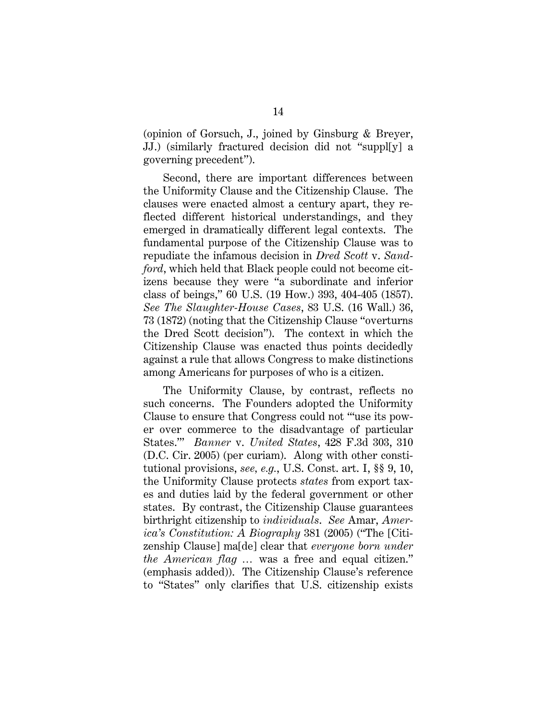(opinion of Gorsuch, J., joined by Ginsburg & Breyer, JJ.) (similarly fractured decision did not "suppl[y] a governing precedent").

Second, there are important differences between the Uniformity Clause and the Citizenship Clause. The clauses were enacted almost a century apart, they reflected different historical understandings, and they emerged in dramatically different legal contexts. The fundamental purpose of the Citizenship Clause was to repudiate the infamous decision in *Dred Scott* v. *Sandford*, which held that Black people could not become citizens because they were "a subordinate and inferior class of beings," 60 U.S. (19 How.) 393, 404-405 (1857). *See The Slaughter-House Cases*, 83 U.S. (16 Wall.) 36, 73 (1872) (noting that the Citizenship Clause "overturns the Dred Scott decision"). The context in which the Citizenship Clause was enacted thus points decidedly against a rule that allows Congress to make distinctions among Americans for purposes of who is a citizen.

The Uniformity Clause, by contrast, reflects no such concerns. The Founders adopted the Uniformity Clause to ensure that Congress could not "'use its power over commerce to the disadvantage of particular States.'" *Banner* v. *United States*, 428 F.3d 303, 310 (D.C. Cir. 2005) (per curiam). Along with other constitutional provisions, *see, e.g.*, U.S. Const. art. I, §§ 9, 10, the Uniformity Clause protects *states* from export taxes and duties laid by the federal government or other states. By contrast, the Citizenship Clause guarantees birthright citizenship to *individuals*. *See* Amar, *America's Constitution: A Biography* 381 (2005) ("The [Citizenship Clause] ma[de] clear that *everyone born under the American flag …* was a free and equal citizen." (emphasis added)). The Citizenship Clause's reference to "States" only clarifies that U.S. citizenship exists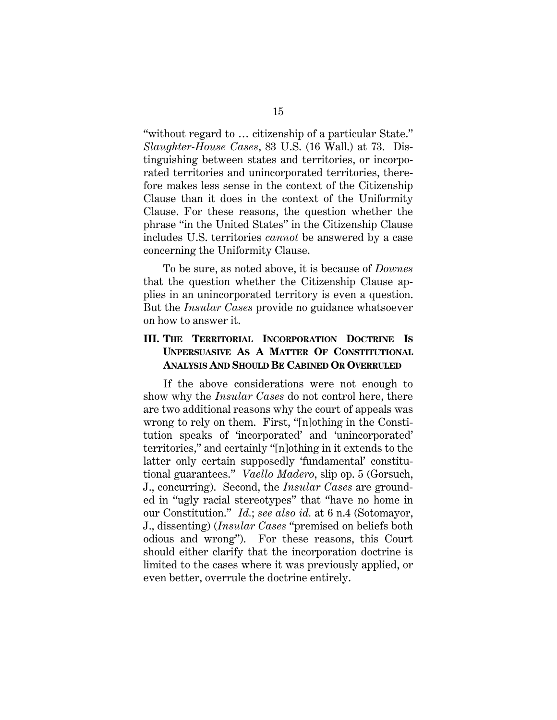"without regard to … citizenship of a particular State." *Slaughter-House Cases*, 83 U.S. (16 Wall.) at 73. Distinguishing between states and territories, or incorporated territories and unincorporated territories, therefore makes less sense in the context of the Citizenship Clause than it does in the context of the Uniformity Clause. For these reasons, the question whether the phrase "in the United States" in the Citizenship Clause includes U.S. territories *cannot* be answered by a case concerning the Uniformity Clause.

To be sure, as noted above, it is because of *Downes* that the question whether the Citizenship Clause applies in an unincorporated territory is even a question. But the *Insular Cases* provide no guidance whatsoever on how to answer it.

### **III. THE TERRITORIAL INCORPORATION DOCTRINE IS UNPERSUASIVE AS A MATTER OF CONSTITUTIONAL ANALYSIS AND SHOULD BE CABINED OR OVERRULED**

If the above considerations were not enough to show why the *Insular Cases* do not control here, there are two additional reasons why the court of appeals was wrong to rely on them. First, "[n]othing in the Constitution speaks of 'incorporated' and 'unincorporated' territories," and certainly "[n]othing in it extends to the latter only certain supposedly 'fundamental' constitutional guarantees." *Vaello Madero*, slip op. 5 (Gorsuch, J., concurring). Second, the *Insular Cases* are grounded in "ugly racial stereotypes" that "have no home in our Constitution." *Id.*; *see also id.* at 6 n.4 (Sotomayor, J., dissenting) (*Insular Cases* "premised on beliefs both odious and wrong"). For these reasons, this Court should either clarify that the incorporation doctrine is limited to the cases where it was previously applied, or even better, overrule the doctrine entirely.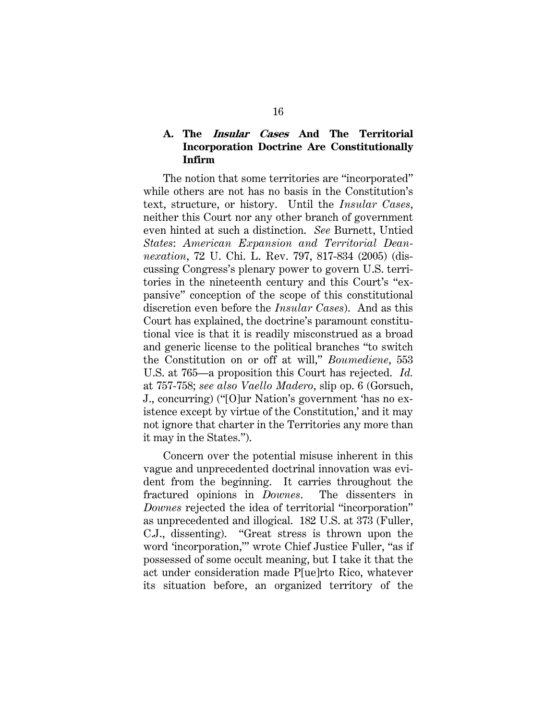### **A. The Insular Cases And The Territorial Incorporation Doctrine Are Constitutionally Infirm**

The notion that some territories are "incorporated" while others are not has no basis in the Constitution's text, structure, or history. Until the *Insular Cases*, neither this Court nor any other branch of government even hinted at such a distinction. *See* Burnett, Untied *States*: *American Expansion and Territorial Deannexation*, 72 U. Chi. L. Rev. 797, 817-834 (2005) (discussing Congress's plenary power to govern U.S. territories in the nineteenth century and this Court's "expansive" conception of the scope of this constitutional discretion even before the *Insular Cases*). And as this Court has explained, the doctrine's paramount constitutional vice is that it is readily misconstrued as a broad and generic license to the political branches "to switch the Constitution on or off at will," *Boumediene*, 553 U.S. at 765—a proposition this Court has rejected. *Id.*  at 757-758; *see also Vaello Madero*, slip op. 6 (Gorsuch, J., concurring) ("[O]ur Nation's government 'has no existence except by virtue of the Constitution,' and it may not ignore that charter in the Territories any more than it may in the States.").

Concern over the potential misuse inherent in this vague and unprecedented doctrinal innovation was evident from the beginning. It carries throughout the fractured opinions in *Downes*. The dissenters in *Downes* rejected the idea of territorial "incorporation" as unprecedented and illogical. 182 U.S. at 373 (Fuller, C.J., dissenting). "Great stress is thrown upon the word 'incorporation,'" wrote Chief Justice Fuller, "as if possessed of some occult meaning, but I take it that the act under consideration made P[ue]rto Rico, whatever its situation before, an organized territory of the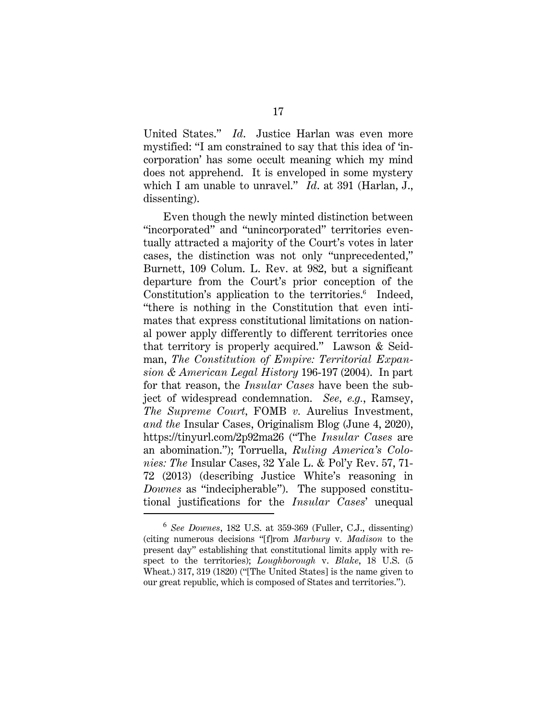United States." *Id*. Justice Harlan was even more mystified: "I am constrained to say that this idea of 'incorporation' has some occult meaning which my mind does not apprehend. It is enveloped in some mystery which I am unable to unravel." *Id*. at 391 (Harlan, J., dissenting).

Even though the newly minted distinction between "incorporated" and "unincorporated" territories eventually attracted a majority of the Court's votes in later cases, the distinction was not only "unprecedented," Burnett, 109 Colum. L. Rev. at 982, but a significant departure from the Court's prior conception of the Constitution's application to the territories.<sup>6</sup> Indeed, "there is nothing in the Constitution that even intimates that express constitutional limitations on national power apply differently to different territories once that territory is properly acquired." Lawson & Seidman, *The Constitution of Empire: Territorial Expansion & American Legal History* 196-197 (2004). In part for that reason, the *Insular Cases* have been the subject of widespread condemnation. *See, e.g.*, Ramsey, *The Supreme Court,* FOMB *v.* Aurelius Investment*, and the* Insular Cases, Originalism Blog (June 4, 2020), https://tinyurl.com/2p92ma26 ("The *Insular Cases* are an abomination."); Torruella, *Ruling America's Colonies: The* Insular Cases, 32 Yale L. & Pol'y Rev. 57, 71- 72 (2013) (describing Justice White's reasoning in *Downes* as "indecipherable"). The supposed constitutional justifications for the *Insular Cases*' unequal

<sup>6</sup> *See Downes*, 182 U.S. at 359-369 (Fuller, C.J., dissenting) (citing numerous decisions "[f]rom *Marbury* v*. Madison* to the present day" establishing that constitutional limits apply with respect to the territories); *Loughborough* v. *Blake*, 18 U.S. (5 Wheat.) 317, 319 (1820) ("[The United States] is the name given to our great republic, which is composed of States and territories.").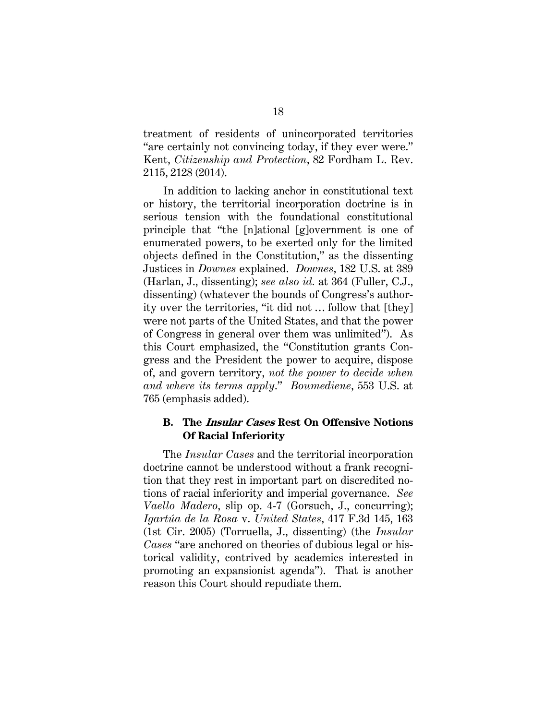treatment of residents of unincorporated territories "are certainly not convincing today, if they ever were." Kent, *Citizenship and Protection*, 82 Fordham L. Rev. 2115, 2128 (2014).

In addition to lacking anchor in constitutional text or history, the territorial incorporation doctrine is in serious tension with the foundational constitutional principle that "the [n]ational [g]overnment is one of enumerated powers, to be exerted only for the limited objects defined in the Constitution," as the dissenting Justices in *Downes* explained. *Downes*, 182 U.S. at 389 (Harlan, J., dissenting); *see also id.* at 364 (Fuller, C.J., dissenting) (whatever the bounds of Congress's authority over the territories, "it did not … follow that [they] were not parts of the United States, and that the power of Congress in general over them was unlimited"). As this Court emphasized, the "Constitution grants Congress and the President the power to acquire, dispose of, and govern territory, *not the power to decide when and where its terms apply*." *Boumediene*, 553 U.S. at 765 (emphasis added).

### **B. The Insular Cases Rest On Offensive Notions Of Racial Inferiority**

The *Insular Cases* and the territorial incorporation doctrine cannot be understood without a frank recognition that they rest in important part on discredited notions of racial inferiority and imperial governance. *See Vaello Madero*, slip op. 4-7 (Gorsuch, J., concurring); *Igartúa de la Rosa* v. *United States*, 417 F.3d 145, 163 (1st Cir. 2005) (Torruella, J., dissenting) (the *Insular Cases* "are anchored on theories of dubious legal or historical validity, contrived by academics interested in promoting an expansionist agenda"). That is another reason this Court should repudiate them.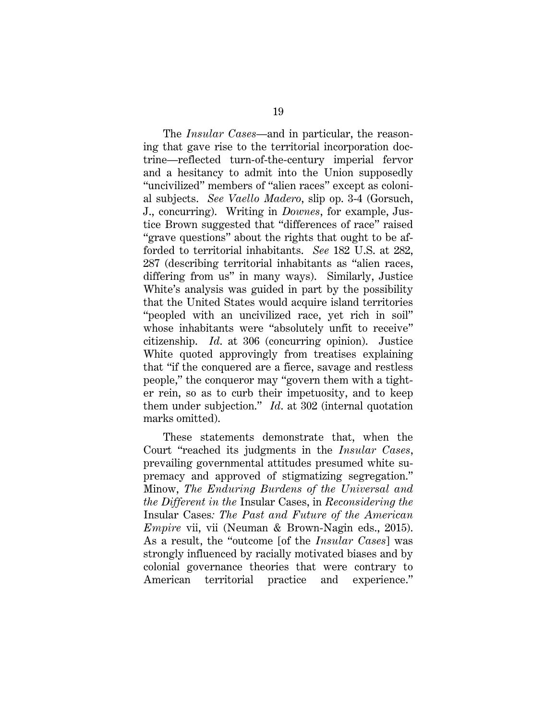The *Insular Cases*—and in particular, the reasoning that gave rise to the territorial incorporation doctrine—reflected turn-of-the-century imperial fervor and a hesitancy to admit into the Union supposedly "uncivilized" members of "alien races" except as colonial subjects. *See Vaello Madero*, slip op. 3-4 (Gorsuch, J., concurring). Writing in *Downes*, for example, Justice Brown suggested that "differences of race" raised "grave questions" about the rights that ought to be afforded to territorial inhabitants. *See* 182 U.S. at 282, 287 (describing territorial inhabitants as "alien races, differing from us" in many ways). Similarly, Justice White's analysis was guided in part by the possibility that the United States would acquire island territories "peopled with an uncivilized race, yet rich in soil" whose inhabitants were "absolutely unfit to receive" citizenship. *Id*. at 306 (concurring opinion). Justice White quoted approvingly from treatises explaining that "if the conquered are a fierce, savage and restless people," the conqueror may "govern them with a tighter rein, so as to curb their impetuosity, and to keep them under subjection." *Id*. at 302 (internal quotation marks omitted).

These statements demonstrate that, when the Court "reached its judgments in the *Insular Cases*, prevailing governmental attitudes presumed white supremacy and approved of stigmatizing segregation." Minow, *The Enduring Burdens of the Universal and the Different in the* Insular Cases, in *Reconsidering the*  Insular Cases*: The Past and Future of the American Empire* vii, vii (Neuman & Brown-Nagin eds., 2015). As a result, the "outcome [of the *Insular Cases*] was strongly influenced by racially motivated biases and by colonial governance theories that were contrary to American territorial practice and experience."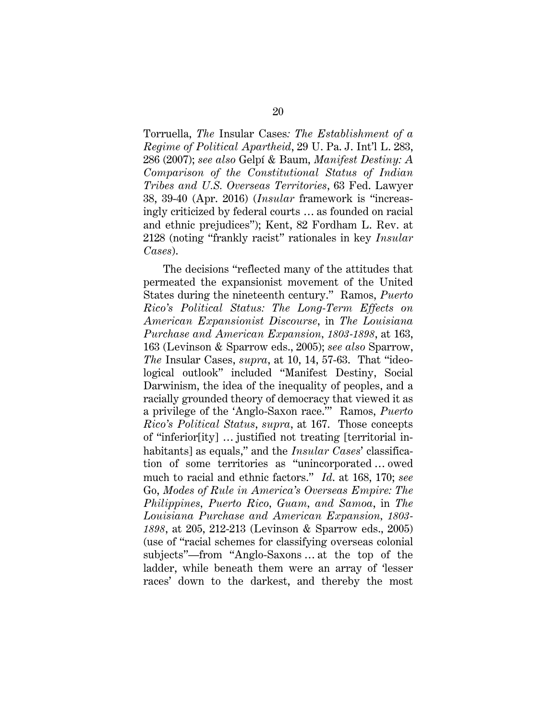Torruella, *The* Insular Cases*: The Establishment of a Regime of Political Apartheid*, 29 U. Pa. J. Int'l L. 283, 286 (2007); *see also* Gelpí & Baum, *Manifest Destiny: A Comparison of the Constitutional Status of Indian Tribes and U.S. Overseas Territories*, 63 Fed. Lawyer 38, 39-40 (Apr. 2016) (*Insular* framework is "increasingly criticized by federal courts … as founded on racial and ethnic prejudices"); Kent, 82 Fordham L. Rev. at 2128 (noting "frankly racist" rationales in key *Insular Cases*).

The decisions "reflected many of the attitudes that permeated the expansionist movement of the United States during the nineteenth century." Ramos, *Puerto Rico's Political Status: The Long-Term Effects on American Expansionist Discourse*, in *The Louisiana Purchase and American Expansion, 1803-1898*, at 163, 163 (Levinson & Sparrow eds., 2005); *see also* Sparrow, *The* Insular Cases, *supra*, at 10, 14, 57-63. That "ideological outlook" included "Manifest Destiny, Social Darwinism, the idea of the inequality of peoples, and a racially grounded theory of democracy that viewed it as a privilege of the 'Anglo-Saxon race.'" Ramos, *Puerto Rico's Political Status*, *supra*, at 167. Those concepts of "inferior[ity] … justified not treating [territorial inhabitants] as equals," and the *Insular Cases*' classification of some territories as "unincorporated … owed much to racial and ethnic factors." *Id*. at 168, 170; *see* Go, *Modes of Rule in America's Overseas Empire: The Philippines, Puerto Rico, Guam, and Samoa*, in *The Louisiana Purchase and American Expansion, 1803- 1898*, at 205, 212-213 (Levinson & Sparrow eds., 2005) (use of "racial schemes for classifying overseas colonial subjects"—from "Anglo-Saxons … at the top of the ladder, while beneath them were an array of 'lesser races' down to the darkest, and thereby the most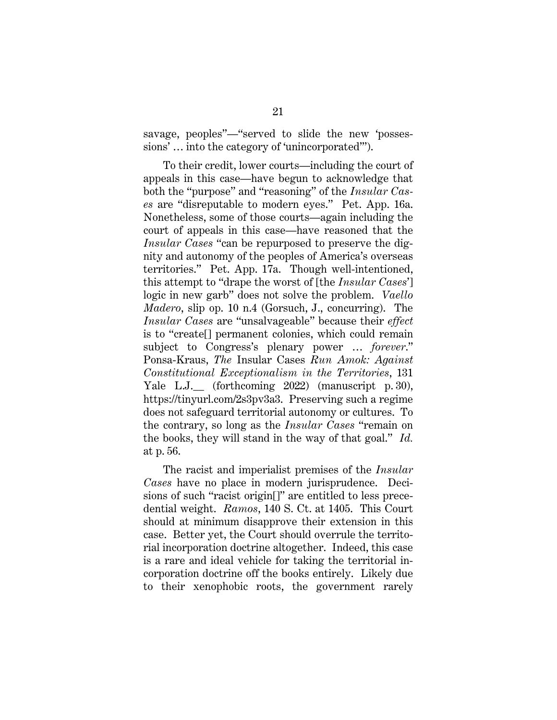savage, peoples"—"served to slide the new 'possessions' … into the category of 'unincorporated'").

To their credit, lower courts—including the court of appeals in this case—have begun to acknowledge that both the "purpose" and "reasoning" of the *Insular Cases* are "disreputable to modern eyes." Pet. App. 16a. Nonetheless, some of those courts—again including the court of appeals in this case—have reasoned that the *Insular Cases* "can be repurposed to preserve the dignity and autonomy of the peoples of America's overseas territories." Pet. App. 17a. Though well-intentioned, this attempt to "drape the worst of [the *Insular Cases*'] logic in new garb" does not solve the problem. *Vaello Madero*, slip op. 10 n.4 (Gorsuch, J., concurring). The *Insular Cases* are "unsalvageable" because their *effect*  is to "create[] permanent colonies, which could remain subject to Congress's plenary power … *forever*." Ponsa-Kraus, *The* Insular Cases *Run Amok: Against Constitutional Exceptionalism in the Territories*, 131 Yale L.J.\_\_ (forthcoming 2022) (manuscript p. 30), https://tinyurl.com/2s3pv3a3. Preserving such a regime does not safeguard territorial autonomy or cultures. To the contrary, so long as the *Insular Cases* "remain on the books, they will stand in the way of that goal." *Id.* at p. 56.

The racist and imperialist premises of the *Insular Cases* have no place in modern jurisprudence. Decisions of such "racist origin[]" are entitled to less precedential weight. *Ramos*, 140 S. Ct. at 1405. This Court should at minimum disapprove their extension in this case. Better yet, the Court should overrule the territorial incorporation doctrine altogether. Indeed, this case is a rare and ideal vehicle for taking the territorial incorporation doctrine off the books entirely. Likely due to their xenophobic roots, the government rarely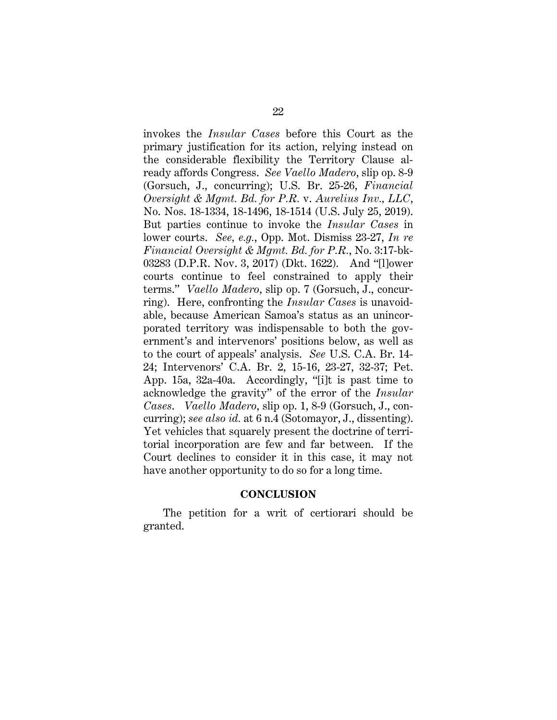invokes the *Insular Cases* before this Court as the primary justification for its action, relying instead on the considerable flexibility the Territory Clause already affords Congress. *See Vaello Madero*, slip op. 8-9 (Gorsuch, J., concurring); U.S. Br. 25-26, *Financial Oversight & Mgmt. Bd. for P.R.* v. *Aurelius Inv., LLC*, No. Nos. 18-1334, 18-1496, 18-1514 (U.S. July 25, 2019). But parties continue to invoke the *Insular Cases* in lower courts. *See, e.g.*, Opp. Mot. Dismiss 23-27, *In re Financial Oversight & Mgmt. Bd. for P.R.*, No. 3:17-bk-03283 (D.P.R. Nov. 3, 2017) (Dkt. 1622). And "[l]ower courts continue to feel constrained to apply their terms." *Vaello Madero*, slip op. 7 (Gorsuch, J., concurring).Here, confronting the *Insular Cases* is unavoidable, because American Samoa's status as an unincorporated territory was indispensable to both the government's and intervenors' positions below, as well as to the court of appeals' analysis. *See* U.S. C.A. Br. 14- 24; Intervenors' C.A. Br. 2, 15-16, 23-27, 32-37; Pet. App. 15a, 32a-40a. Accordingly, "[i]t is past time to acknowledge the gravity" of the error of the *Insular Cases*. *Vaello Madero*, slip op. 1, 8-9 (Gorsuch, J., concurring); *see also id.* at 6 n.4 (Sotomayor, J., dissenting). Yet vehicles that squarely present the doctrine of territorial incorporation are few and far between. If the Court declines to consider it in this case, it may not have another opportunity to do so for a long time.

#### **CONCLUSION**

The petition for a writ of certiorari should be granted.